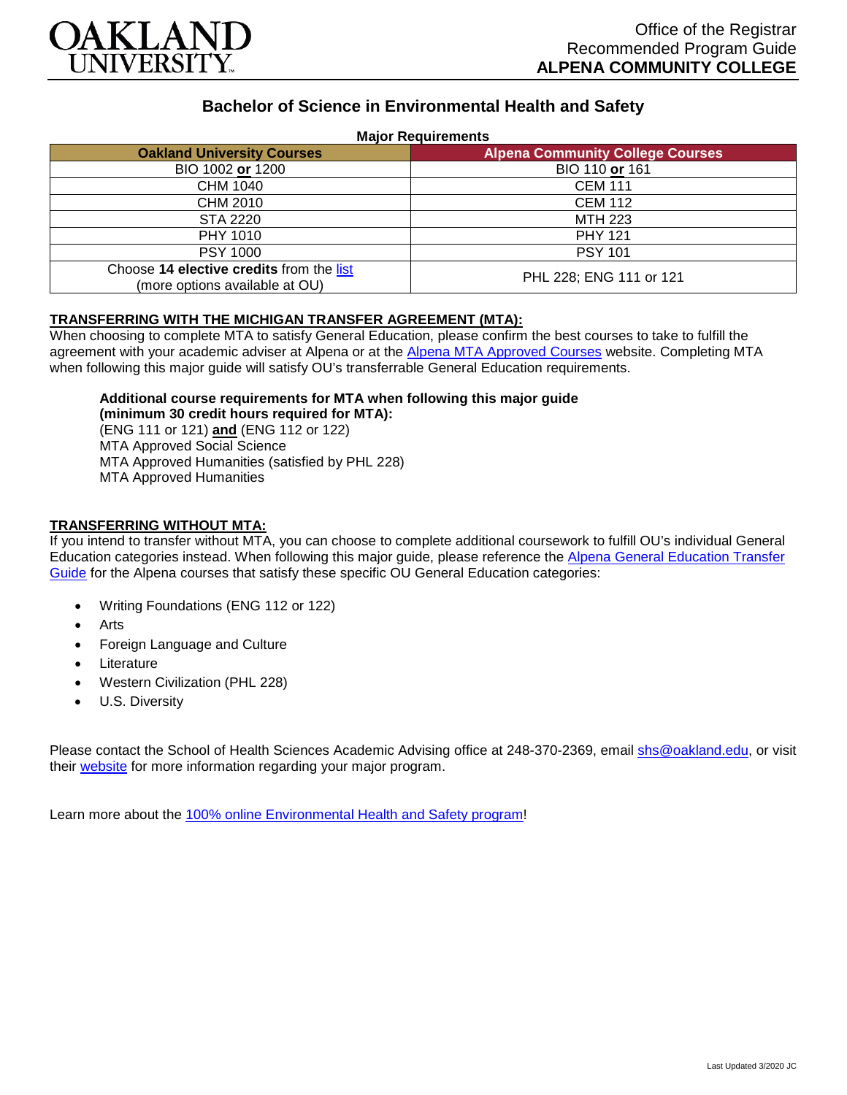

# **Bachelor of Science in Environmental Health and Safety**

### **Major Requirements**

| <b>Oakland University Courses</b>                                          | <b>Alpena Community College Courses</b> |
|----------------------------------------------------------------------------|-----------------------------------------|
| BIO 1002 or 1200                                                           | BIO 110 or 161                          |
| CHM 1040                                                                   | <b>CEM 111</b>                          |
| CHM 2010                                                                   | <b>CEM 112</b>                          |
| STA 2220                                                                   | <b>MTH 223</b>                          |
| PHY 1010                                                                   | <b>PHY 121</b>                          |
| <b>PSY 1000</b>                                                            | <b>PSY 101</b>                          |
| Choose 14 elective credits from the list<br>(more options available at OU) | PHL 228; ENG 111 or 121                 |

## **TRANSFERRING WITH THE MICHIGAN TRANSFER AGREEMENT (MTA):**

When choosing to complete MTA to satisfy General Education, please confirm the best courses to take to fulfill the agreement with your academic adviser at Alpena or at the [Alpena MTA Approved Courses](https://discover.alpenacc.edu/admissions/current_students/MTA.php) website. Completing MTA when following this major guide will satisfy OU's transferrable General Education requirements.

#### **Additional course requirements for MTA when following this major guide (minimum 30 credit hours required for MTA):**

(ENG 111 or 121) **and** (ENG 112 or 122) MTA Approved Social Science MTA Approved Humanities (satisfied by PHL 228) MTA Approved Humanities

## **TRANSFERRING WITHOUT MTA:**

If you intend to transfer without MTA, you can choose to complete additional coursework to fulfill OU's individual General Education categories instead. When following this major guide, please reference the [Alpena General Education Transfer](https://www.oakland.edu/Assets/Oakland/program-guides/alpena-community-college/university-general-education-requirements/Alpena%20Gen%20Ed.pdf)  [Guide](https://www.oakland.edu/Assets/Oakland/program-guides/alpena-community-college/university-general-education-requirements/Alpena%20Gen%20Ed.pdf) for the Alpena courses that satisfy these specific OU General Education categories:

- Writing Foundations (ENG 112 or 122)
- **Arts**
- Foreign Language and Culture
- **Literature**
- Western Civilization (PHL 228)
- U.S. Diversity

Please contact the School of Health Sciences Academic Advising office at 248-370-2369, email [shs@oakland.edu,](mailto:shs@oakland.edu) or visit their [website](http://www.oakland.edu/shs/advising) for more information regarding your major program.

Learn more about the [100% online Environmental Health and Safety program!](https://www.oakland.edu/online/undergraduate-degree-programs/ehs/)